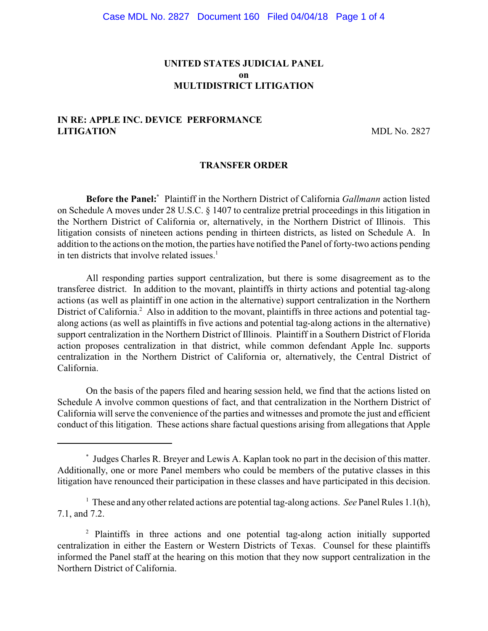## **UNITED STATES JUDICIAL PANEL on MULTIDISTRICT LITIGATION**

# **IN RE: APPLE INC. DEVICE PERFORMANCE LITIGATION** MDL No. 2827

#### **TRANSFER ORDER**

**Before the Panel:** Plaintiff in the Northern District of California *Gallmann* action listed on Schedule A moves under 28 U.S.C. § 1407 to centralize pretrial proceedings in this litigation in the Northern District of California or, alternatively, in the Northern District of Illinois. This litigation consists of nineteen actions pending in thirteen districts, as listed on Schedule A. In addition to the actions on the motion, the parties have notified the Panel of forty-two actions pending in ten districts that involve related issues.<sup>1</sup>

All responding parties support centralization, but there is some disagreement as to the transferee district. In addition to the movant, plaintiffs in thirty actions and potential tag-along actions (as well as plaintiff in one action in the alternative) support centralization in the Northern District of California.<sup>2</sup> Also in addition to the movant, plaintiffs in three actions and potential tagalong actions (as well as plaintiffs in five actions and potential tag-along actions in the alternative) support centralization in the Northern District of Illinois. Plaintiff in a Southern District of Florida action proposes centralization in that district, while common defendant Apple Inc. supports centralization in the Northern District of California or, alternatively, the Central District of California.

On the basis of the papers filed and hearing session held, we find that the actions listed on Schedule A involve common questions of fact, and that centralization in the Northern District of California will serve the convenience of the parties and witnesses and promote the just and efficient conduct of this litigation. These actions share factual questions arising from allegations that Apple

Judges Charles R. Breyer and Lewis A. Kaplan took no part in the decision of this matter. \* Additionally, one or more Panel members who could be members of the putative classes in this litigation have renounced their participation in these classes and have participated in this decision.

<sup>&</sup>lt;sup>1</sup> These and any other related actions are potential tag-along actions. *See* Panel Rules 1.1(h), 7.1, and 7.2.

<sup>&</sup>lt;sup>2</sup> Plaintiffs in three actions and one potential tag-along action initially supported centralization in either the Eastern or Western Districts of Texas. Counsel for these plaintiffs informed the Panel staff at the hearing on this motion that they now support centralization in the Northern District of California.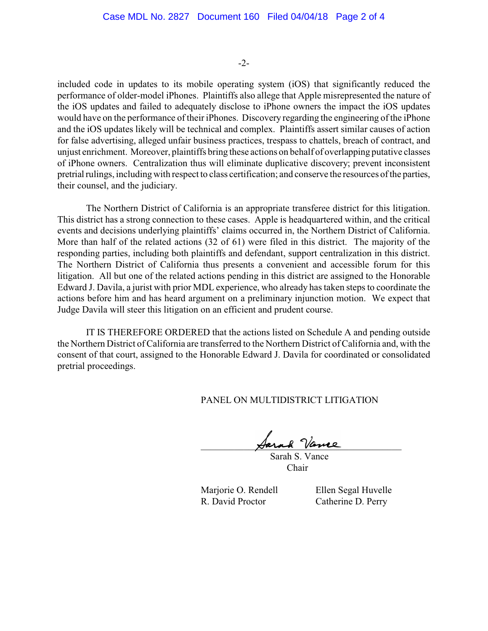-2-

included code in updates to its mobile operating system (iOS) that significantly reduced the performance of older-model iPhones. Plaintiffs also allege that Apple misrepresented the nature of the iOS updates and failed to adequately disclose to iPhone owners the impact the iOS updates would have on the performance of their iPhones. Discovery regarding the engineering of the iPhone and the iOS updates likely will be technical and complex. Plaintiffs assert similar causes of action for false advertising, alleged unfair business practices, trespass to chattels, breach of contract, and unjust enrichment. Moreover, plaintiffs bring these actions on behalf of overlapping putative classes of iPhone owners. Centralization thus will eliminate duplicative discovery; prevent inconsistent pretrial rulings, including with respect to class certification; and conserve the resources of the parties, their counsel, and the judiciary.

The Northern District of California is an appropriate transferee district for this litigation. This district has a strong connection to these cases. Apple is headquartered within, and the critical events and decisions underlying plaintiffs' claims occurred in, the Northern District of California. More than half of the related actions (32 of 61) were filed in this district. The majority of the responding parties, including both plaintiffs and defendant, support centralization in this district. The Northern District of California thus presents a convenient and accessible forum for this litigation. All but one of the related actions pending in this district are assigned to the Honorable Edward J. Davila, a jurist with prior MDL experience, who already has taken steps to coordinate the actions before him and has heard argument on a preliminary injunction motion. We expect that Judge Davila will steer this litigation on an efficient and prudent course.

IT IS THEREFORE ORDERED that the actions listed on Schedule A and pending outside the Northern District of California are transferred to the Northern District of California and, with the consent of that court, assigned to the Honorable Edward J. Davila for coordinated or consolidated pretrial proceedings.

PANEL ON MULTIDISTRICT LITIGATION

 $\cancel{\text{Area}}$  Vience

 Sarah S. Vance Chair

R. David Proctor Catherine D. Perry

Marjorie O. Rendell Ellen Segal Huvelle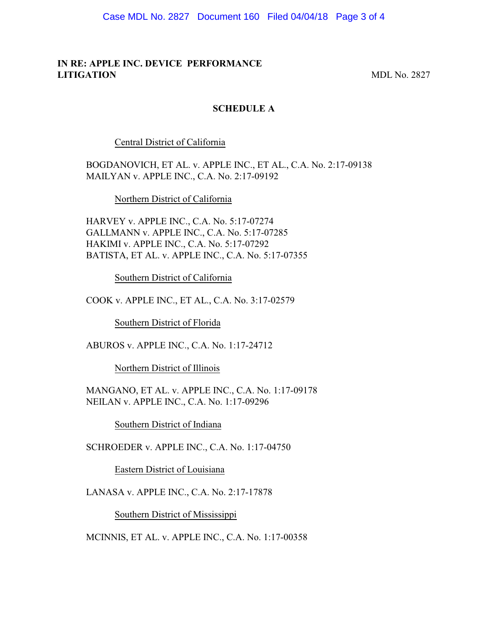Case MDL No. 2827 Document 160 Filed 04/04/18 Page 3 of 4

## **IN RE: APPLE INC. DEVICE PERFORMANCE LITIGATION** MDL No. 2827

#### **SCHEDULE A**

Central District of California

BOGDANOVICH, ET AL. v. APPLE INC., ET AL., C.A. No. 2:17-09138 MAILYAN v. APPLE INC., C.A. No. 2:17-09192

Northern District of California

HARVEY v. APPLE INC., C.A. No. 5:17-07274 GALLMANN v. APPLE INC., C.A. No. 5:17-07285 HAKIMI v. APPLE INC., C.A. No. 5:17-07292 BATISTA, ET AL. v. APPLE INC., C.A. No. 5:17-07355

Southern District of California

COOK v. APPLE INC., ET AL., C.A. No. 3:17-02579

Southern District of Florida

ABUROS v. APPLE INC., C.A. No. 1:17-24712

Northern District of Illinois

MANGANO, ET AL. v. APPLE INC., C.A. No. 1:17-09178 NEILAN v. APPLE INC., C.A. No. 1:17-09296

Southern District of Indiana

SCHROEDER v. APPLE INC., C.A. No. 1:17-04750

Eastern District of Louisiana

LANASA v. APPLE INC., C.A. No. 2:17-17878

Southern District of Mississippi

MCINNIS, ET AL. v. APPLE INC., C.A. No. 1:17-00358